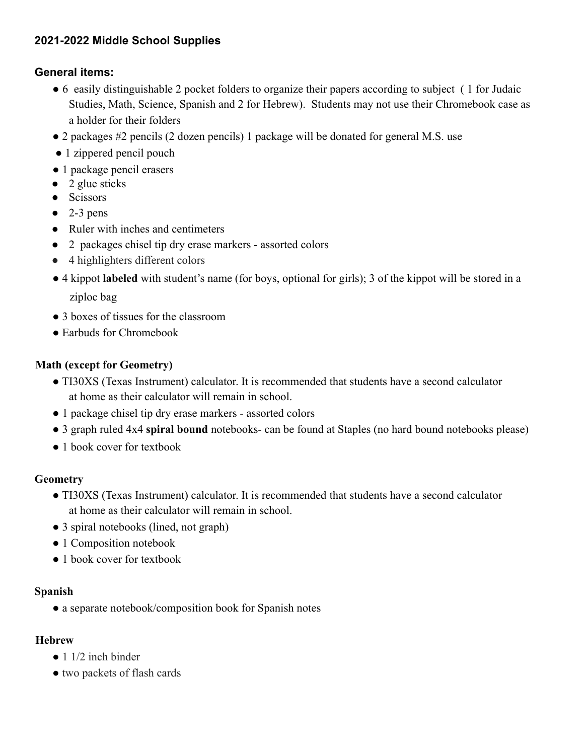## **2021-2022 Middle School Supplies**

### **General items:**

- 6 easily distinguishable 2 pocket folders to organize their papers according to subject ( 1 for Judaic Studies, Math, Science, Spanish and 2 for Hebrew). Students may not use their Chromebook case as a holder for their folders
- 2 packages #2 pencils (2 dozen pencils) 1 package will be donated for general M.S. use
- 1 zippered pencil pouch
- 1 package pencil erasers
- $\bullet$  2 glue sticks
- Scissors
- $\bullet$  2-3 pens
- Ruler with inches and centimeters
- 2 packages chisel tip dry erase markers assorted colors
- 4 highlighters different colors
- 4 kippot **labeled** with student's name (for boys, optional for girls); 3 of the kippot will be stored in a ziploc bag
- 3 boxes of tissues for the classroom
- Earbuds for Chromebook

### **Math (except for Geometry)**

- TI30XS (Texas Instrument) calculator. It is recommended that students have a second calculator at home as their calculator will remain in school.
- 1 package chisel tip dry erase markers assorted colors
- 3 graph ruled 4x4 **spiral bound** notebooks- can be found at Staples (no hard bound notebooks please)
- 1 book cover for textbook

### **Geometry**

- TI30XS (Texas Instrument) calculator. It is recommended that students have a second calculator at home as their calculator will remain in school.
- 3 spiral notebooks (lined, not graph)
- 1 Composition notebook
- 1 book cover for textbook

### **Spanish**

● a separate notebook/composition book for Spanish notes

### **Hebrew**

- $\bullet$  1 1/2 inch binder
- two packets of flash cards